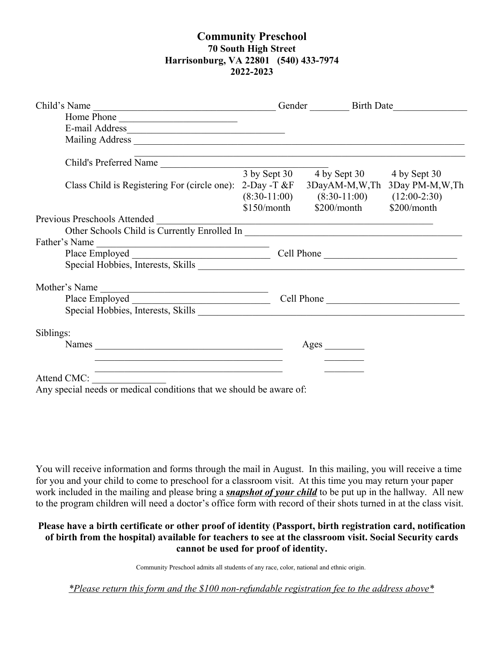## **Community Preschool 70 South High Street Harrisonburg, VA 22801 (540) 433-7974 2022-2023**

| Child's Name<br><u> 1989 - Johann John Stein, mars an deus Amerikaansk kommunister (</u>                             |            | Gender Birth Date                                                                |              |
|----------------------------------------------------------------------------------------------------------------------|------------|----------------------------------------------------------------------------------|--------------|
| Home Phone                                                                                                           |            |                                                                                  |              |
|                                                                                                                      |            |                                                                                  |              |
|                                                                                                                      |            |                                                                                  |              |
| Child's Preferred Name                                                                                               |            | ,我们也不能在这里,我们的人们也不能在这里,我们也不能会在这里,我们也不能会在这里,我们也不能会不能会不能会。""我们,我们也不能会不能会不能会不能会不能会不能 |              |
|                                                                                                                      |            | 3 by Sept 30 4 by Sept 30                                                        | 4 by Sept 30 |
| Class Child is Registering For (circle one):                                                                         |            | 2-Day -T &F 3DayAM-M,W,Th 3Day PM-M,W,Th                                         |              |
|                                                                                                                      |            | $(8:30-11:00)$ $(8:30-11:00)$ $(12:00-2:30)$                                     |              |
|                                                                                                                      |            | $$150/morth$ $$200/month$                                                        | \$200/month  |
| Previous Preschools Attended                                                                                         |            | <u> 1989 - Johann Barbara, martxa alemaniar amerikan a</u>                       |              |
|                                                                                                                      |            |                                                                                  |              |
| Father's Name<br><u> 1989 - Johann Barnett, fransk politiker (d. 1989)</u>                                           |            |                                                                                  |              |
|                                                                                                                      | Cell Phone |                                                                                  |              |
|                                                                                                                      |            |                                                                                  |              |
| Mother's Name                                                                                                        |            |                                                                                  |              |
|                                                                                                                      | Cell Phone |                                                                                  |              |
|                                                                                                                      |            |                                                                                  |              |
| Siblings:                                                                                                            |            |                                                                                  |              |
| Names                                                                                                                |            |                                                                                  |              |
| <u>. La característica de la característica de la característica de la característica de la característica de la</u> |            |                                                                                  |              |
| Attend CMC:<br><u> 1989 - Andrea State</u>                                                                           |            |                                                                                  |              |

Any special needs or medical conditions that we should be aware of:

You will receive information and forms through the mail in August. In this mailing, you will receive a time for you and your child to come to preschool for a classroom visit. At this time you may return your paper work included in the mailing and please bring a *snapshot of your child* to be put up in the hallway. All new to the program children will need a doctor's office form with record of their shots turned in at the class visit.

## **Please have a birth certificate or other proof of identity (Passport, birth registration card, notification of birth from the hospital) available for teachers to see at the classroom visit. Social Security cards cannot be used for proof of identity.**

Community Preschool admits all students of any race, color, national and ethnic origin.

*\*Please return this form and the \$100 non-refundable registration fee to the address above\**